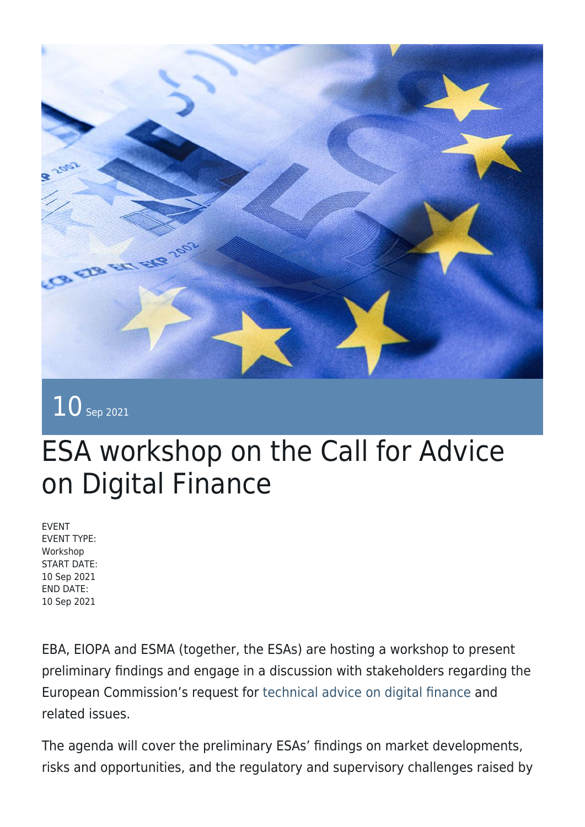

## $10$  Sep 2021

## ESA workshop on the Call for Advice on Digital Finance

EVENT EVENT TYPE: Workshop START DATE: 10 Sep 2021 END DATE: 10 Sep 2021

EBA, EIOPA and ESMA (together, the ESAs) are hosting a workshop to present preliminary findings and engage in a discussion with stakeholders regarding the European Commission's request for [technical advice on digital finance](https://ec.europa.eu/info/sites/default/files/business_economy_euro/banking_and_finance/documents/210202-call-advice-esas-digital-finance_en.pdf) and related issues.

The agenda will cover the preliminary ESAs' findings on market developments, risks and opportunities, and the regulatory and supervisory challenges raised by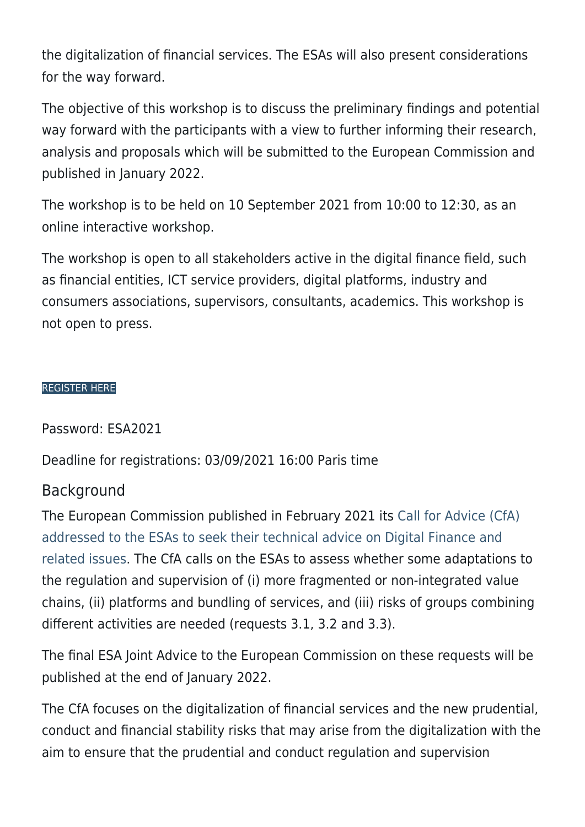the digitalization of financial services. The ESAs will also present considerations for the way forward.

The objective of this workshop is to discuss the preliminary findings and potential way forward with the participants with a view to further informing their research, analysis and proposals which will be submitted to the European Commission and published in January 2022.

The workshop is to be held on 10 September 2021 from 10:00 to 12:30, as an online interactive workshop.

The workshop is open to all stakeholders active in the digital finance field, such as financial entities, ICT service providers, digital platforms, industry and consumers associations, supervisors, consultants, academics. This workshop is not open to press.

## [REGISTER HERE](https://www.eba.europa.eu/calendar/esa-workshop-call-advice-digital-finance)

Password: ESA2021

Deadline for registrations: 03/09/2021 16:00 Paris time

## Background

The European Commission published in February 2021 its [Call for Advice \(CfA\)](https://ec.europa.eu/info/sites/default/files/business_economy_euro/banking_and_finance/documents/210202-call-advice-esas-digital-finance_en.pdf) [addressed to the ESAs to seek their technical advice on Digital Finance and](https://ec.europa.eu/info/sites/default/files/business_economy_euro/banking_and_finance/documents/210202-call-advice-esas-digital-finance_en.pdf) [related issues.](https://ec.europa.eu/info/sites/default/files/business_economy_euro/banking_and_finance/documents/210202-call-advice-esas-digital-finance_en.pdf) The CfA calls on the ESAs to assess whether some adaptations to the regulation and supervision of (i) more fragmented or non-integrated value chains, (ii) platforms and bundling of services, and (iii) risks of groups combining different activities are needed (requests 3.1, 3.2 and 3.3).

The final ESA Joint Advice to the European Commission on these requests will be published at the end of January 2022.

The CfA focuses on the digitalization of financial services and the new prudential, conduct and financial stability risks that may arise from the digitalization with the aim to ensure that the prudential and conduct regulation and supervision